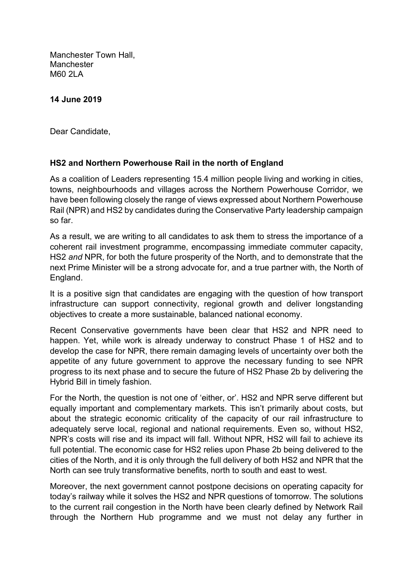Manchester Town Hall, **Manchester** M60 2LA

## 14 June 2019

Dear Candidate,

## HS2 and Northern Powerhouse Rail in the north of England

As a coalition of Leaders representing 15.4 million people living and working in cities, towns, neighbourhoods and villages across the Northern Powerhouse Corridor, we have been following closely the range of views expressed about Northern Powerhouse Rail (NPR) and HS2 by candidates during the Conservative Party leadership campaign so far.

As a result, we are writing to all candidates to ask them to stress the importance of a coherent rail investment programme, encompassing immediate commuter capacity, HS2 and NPR, for both the future prosperity of the North, and to demonstrate that the next Prime Minister will be a strong advocate for, and a true partner with, the North of England.

It is a positive sign that candidates are engaging with the question of how transport infrastructure can support connectivity, regional growth and deliver longstanding objectives to create a more sustainable, balanced national economy.

Recent Conservative governments have been clear that HS2 and NPR need to happen. Yet, while work is already underway to construct Phase 1 of HS2 and to develop the case for NPR, there remain damaging levels of uncertainty over both the appetite of any future government to approve the necessary funding to see NPR progress to its next phase and to secure the future of HS2 Phase 2b by delivering the Hybrid Bill in timely fashion.

For the North, the question is not one of 'either, or'. HS2 and NPR serve different but equally important and complementary markets. This isn't primarily about costs, but about the strategic economic criticality of the capacity of our rail infrastructure to adequately serve local, regional and national requirements. Even so, without HS2, NPR's costs will rise and its impact will fall. Without NPR, HS2 will fail to achieve its full potential. The economic case for HS2 relies upon Phase 2b being delivered to the cities of the North, and it is only through the full delivery of both HS2 and NPR that the North can see truly transformative benefits, north to south and east to west.

Moreover, the next government cannot postpone decisions on operating capacity for today's railway while it solves the HS2 and NPR questions of tomorrow. The solutions to the current rail congestion in the North have been clearly defined by Network Rail through the Northern Hub programme and we must not delay any further in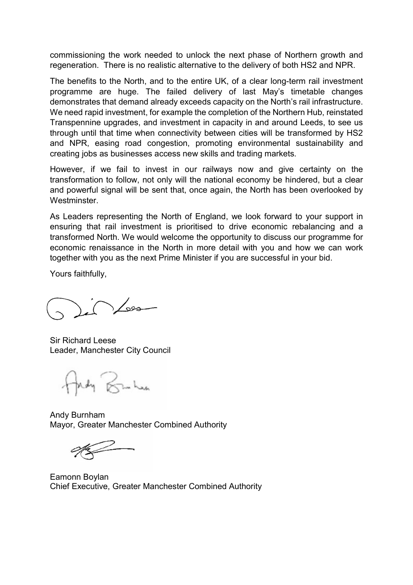commissioning the work needed to unlock the next phase of Northern growth and regeneration. There is no realistic alternative to the delivery of both HS2 and NPR.

The benefits to the North, and to the entire UK, of a clear long-term rail investment programme are huge. The failed delivery of last May's timetable changes demonstrates that demand already exceeds capacity on the North's rail infrastructure. We need rapid investment, for example the completion of the Northern Hub, reinstated Transpennine upgrades, and investment in capacity in and around Leeds, to see us through until that time when connectivity between cities will be transformed by HS2 and NPR, easing road congestion, promoting environmental sustainability and creating jobs as businesses access new skills and trading markets.

However, if we fail to invest in our railways now and give certainty on the transformation to follow, not only will the national economy be hindered, but a clear and powerful signal will be sent that, once again, the North has been overlooked by Westminster.

As Leaders representing the North of England, we look forward to your support in ensuring that rail investment is prioritised to drive economic rebalancing and a transformed North. We would welcome the opportunity to discuss our programme for economic renaissance in the North in more detail with you and how we can work together with you as the next Prime Minister if you are successful in your bid.

Yours faithfully,

 $\bigcirc$ 

Sir Richard Leese Leader, Manchester City Council

Fredy Bruken

Andy Burnham Mayor, Greater Manchester Combined Authority

Eamonn Boylan Chief Executive, Greater Manchester Combined Authority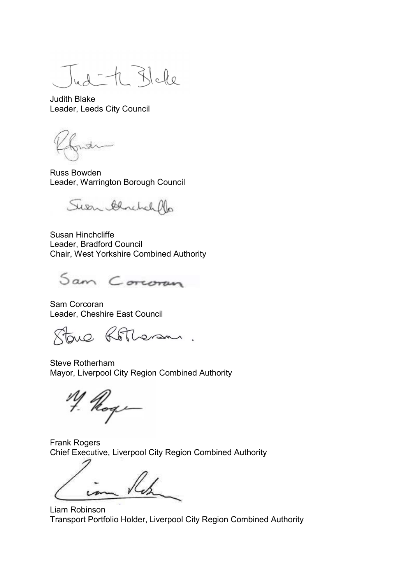$A - A$  Blake

Judith Blake Leader, Leeds City Council

Russ Bowden Leader, Warrington Borough Council

Suen Genetich

Susan Hinchcliffe Leader, Bradford Council Chair, West Yorkshire Combined Authority

Sam Corcoran

Sam Corcoran Leader, Cheshire East Council

toue Rotheram.

Steve Rotherham Mayor, Liverpool City Region Combined Authority

Hoge

Frank Rogers Chief Executive, Liverpool City Region Combined Authority

Liam Robinson Transport Portfolio Holder, Liverpool City Region Combined Authority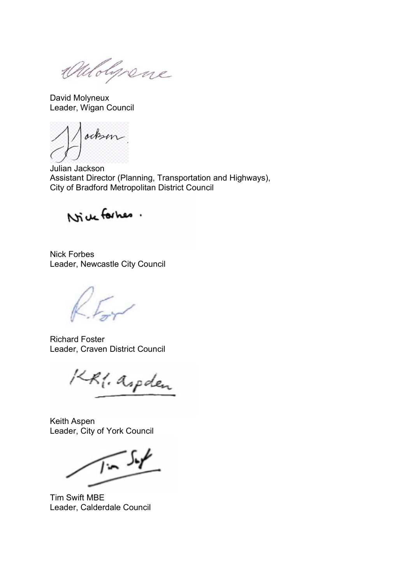Oulolynene

David Molyneux Leader, Wigan Council

ockson

Julian Jackson Assistant Director (Planning, Transportation and Highways), City of Bradford Metropolitan District Council

Nice formes.

Nick Forbes Leader, Newcastle City Council

Richard Foster Leader, Craven District Council

KR1. aspden

Keith Aspen Leader, City of York Council

 $\sqrt{1-\frac{1}{2}}$ 

Tim Swift MBE Leader, Calderdale Council